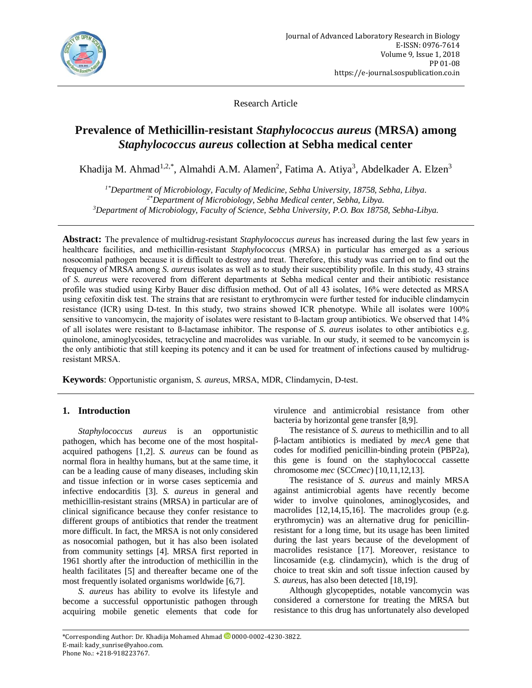

Research Article

# **Prevalence of Methicillin-resistant** *Staphylococcus aureus* **(MRSA) among**  *Staphylococcus aureus* **collection at Sebha medical center**

Khadija M. Ahmad<sup>1,2,\*</sup>, Almahdi A.M. Alamen<sup>2</sup>, Fatima A. Atiya<sup>3</sup>, Abdelkader A. Elzen<sup>3</sup>

*1\*Department of Microbiology, Faculty of Medicine, Sebha University, 18758, Sebha, Libya. 2\*Department of Microbiology, Sebha Medical center, Sebha, Libya. <sup>3</sup>Department of Microbiology, Faculty of Science, Sebha University, P.O. Box 18758, Sebha-Libya.*

**Abstract:** The prevalence of multidrug-resistant *Staphylococcus aureus* has increased during the last few years in healthcare facilities, and methicillin-resistant *Staphylococcus* (MRSA) in particular has emerged as a serious nosocomial pathogen because it is difficult to destroy and treat. Therefore, this study was carried on to find out the frequency of MRSA among *S. aureus* isolates as well as to study their susceptibility profile. In this study, 43 strains of *S. aureus* were recovered from different departments at Sebha medical center and their antibiotic resistance profile was studied using Kirby Bauer disc diffusion method. Out of all 43 isolates, 16% were detected as MRSA using cefoxitin disk test. The strains that are resistant to erythromycin were further tested for inducible clindamycin resistance (ICR) using D-test. In this study, two strains showed ICR phenotype. While all isolates were 100% sensitive to vancomycin, the majority of isolates were resistant to ß-lactam group antibiotics. We observed that 14% of all isolates were resistant to ß-lactamase inhibitor. The response of *S. aureus* isolates to other antibiotics e.g. quinolone, aminoglycosides, tetracycline and macrolides was variable. In our study, it seemed to be vancomycin is the only antibiotic that still keeping its potency and it can be used for treatment of infections caused by multidrugresistant MRSA.

**Keywords**: Opportunistic organism, *S. aureus*, MRSA, MDR, Clindamycin, D-test.

# **1. Introduction**

*Staphylococcus aureus* is an opportunistic pathogen, which has become one of the most hospitalacquired pathogens [1,2]. *S. aureus* can be found as normal flora in healthy humans, but at the same time, it can be a leading cause of many diseases, including skin and tissue infection or in worse cases septicemia and infective endocarditis [3]. *S. aureus* in general and methicillin-resistant strains (MRSA) in particular are of clinical significance because they confer resistance to different groups of antibiotics that render the treatment more difficult. In fact, the MRSA is not only considered as nosocomial pathogen, but it has also been isolated from community settings [4]. MRSA first reported in 1961 shortly after the introduction of methicillin in the health facilitates [5] and thereafter became one of the most frequently isolated organisms worldwide [6,7].

*S. aureus* has ability to evolve its lifestyle and become a successful opportunistic pathogen through acquiring mobile genetic elements that code for

virulence and antimicrobial resistance from other bacteria by horizontal gene transfer [8,9].

The resistance of *S. aureus* to methicillin and to all β-lactam antibiotics is mediated by *mecA* gene that codes for modified penicillin-binding protein (PBP2a), this gene is found on the staphylococcal cassette chromosome *mec* (SCC*mec*) [10*,*11,12,13].

The resistance of *S. aureus* and mainly MRSA against antimicrobial agents have recently become wider to involve quinolones, aminoglycosides, and macrolides [12,14,15,16]. The macrolides group (e.g. erythromycin) was an alternative drug for penicillinresistant for a long time, but its usage has been limited during the last years because of the development of macrolides resistance [17]. Moreover, resistance to lincosamide (e.g. clindamycin), which is the drug of choice to treat skin and soft tissue infection caused by *S. aureus*, has also been detected [18,19].

Although glycopeptides, notable vancomycin was considered a cornerstone for treating the MRSA but resistance to this drug has unfortunately also developed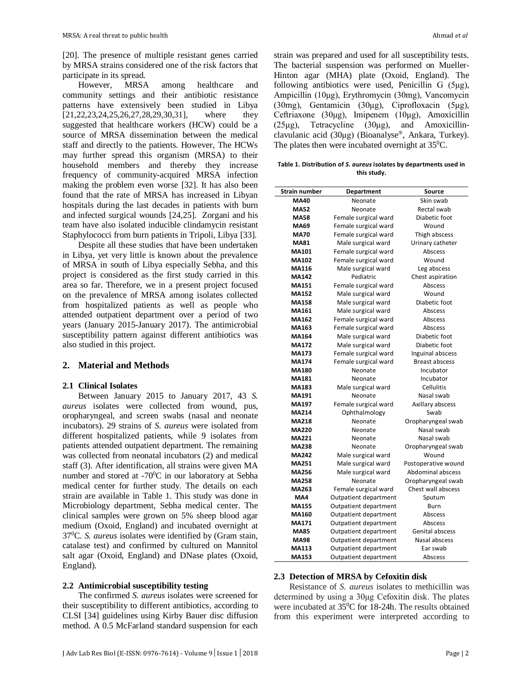[20]. The presence of multiple resistant genes carried by MRSA strains considered one of the risk factors that participate in its spread.

However, MRSA among healthcare and community settings and their antibiotic resistance patterns have extensively been studied in Libya [21,22,23,24,25,26,27,28,29,30,31], where they suggested that healthcare workers (HCW) could be a source of MRSA dissemination between the medical staff and directly to the patients. However, The HCWs may further spread this organism (MRSA) to their household members and thereby they increase frequency of community-acquired MRSA infection making the problem even worse [32]. It has also been found that the rate of MRSA has increased in Libyan hospitals during the last decades in patients with burn and infected surgical wounds [24,25]. Zorgani and his team have also isolated inducible clindamycin resistant Staphylococci from burn patients in Tripoli, Libya [33].

Despite all these studies that have been undertaken in Libya, yet very little is known about the prevalence of MRSA in south of Libya especially Sebha, and this project is considered as the first study carried in this area so far. Therefore, we in a present project focused on the prevalence of MRSA among isolates collected from hospitalized patients as well as people who attended outpatient department over a period of two years (January 2015-January 2017). The antimicrobial susceptibility pattern against different antibiotics was also studied in this project.

# **2. Material and Methods**

## **2.1 Clinical Isolates**

Between January 2015 to January 2017, 43 *S. aureus* isolates were collected from wound, pus, oropharyngeal, and screen swabs (nasal and neonate incubators). 29 strains of *S. aureus* were isolated from different hospitalized patients, while 9 isolates from patients attended outpatient department. The remaining was collected from neonatal incubators (2) and medical staff (3). After identification, all strains were given MA number and stored at -70<sup>0</sup>C in our laboratory at Sebha medical center for further study. The details on each strain are available in Table 1. This study was done in Microbiology department, Sebha medical center. The clinical samples were grown on 5% sheep blood agar medium (Oxoid, England) and incubated overnight at 37<sup>0</sup>C. *S. aureus* isolates were identified by (Gram stain, catalase test) and confirmed by cultured on Mannitol salt agar (Oxoid, England) and DNase plates (Oxoid, England).

## **2.2 Antimicrobial susceptibility testing**

The confirmed *S. aureus* isolates were screened for their susceptibility to different antibiotics, according to CLSI [34] guidelines using Kirby Bauer disc diffusion method. A 0.5 McFarland standard suspension for each strain was prepared and used for all susceptibility tests. The bacterial suspension was performed on Mueller-Hinton agar (MHA) plate (Oxoid, England). The following antibiotics were used, Penicillin G (5μg), Ampicillin (10μg), Erythromycin (30mg), Vancomycin (30mg), Gentamicin (30μg), Ciprofloxacin (5μg), Ceftriaxone (30μg), Imipenem (10μg), Amoxicillin (25μg), Tetracycline (30μg), and Amoxicillinclavulanic acid (30μg) (Bioanalyse®, Ankara, Turkey). The plates then were incubated overnight at  $35^{\circ}$ C.

**Table 1. Distribution of** *S. aureus* **isolates by departments used in this study.**

| <b>Strain number</b> | Department            | Source                |  |
|----------------------|-----------------------|-----------------------|--|
| <b>MA40</b>          | Neonate               | Skin swab             |  |
| <b>MA52</b>          | Neonate               | Rectal swab           |  |
| <b>MA58</b>          | Female surgical ward  | Diabetic foot         |  |
| <b>MA69</b>          | Female surgical ward  | Wound                 |  |
| <b>MA70</b>          | Female surgical ward  | Thigh abscess         |  |
| <b>MA81</b>          | Male surgical ward    | Urinary catheter      |  |
| MA101                | Female surgical ward  | Abscess               |  |
| <b>MA102</b>         | Female surgical ward  | Wound                 |  |
| <b>MA116</b>         | Male surgical ward    | Leg abscess           |  |
| <b>MA142</b>         | Pediatric             | Chest aspiration      |  |
| <b>MA151</b>         | Female surgical ward  | Abscess               |  |
| <b>MA152</b>         | Male surgical ward    | Wound                 |  |
| <b>MA158</b>         | Male surgical ward    | Diabetic foot         |  |
| MA161                | Male surgical ward    | Abscess               |  |
| MA162                | Female surgical ward  | Abscess               |  |
| MA163                | Female surgical ward  | Abscess               |  |
| <b>MA164</b>         | Male surgical ward    | Diabetic foot         |  |
| <b>MA172</b>         | Male surgical ward    | Diabetic foot         |  |
| MA173                | Female surgical ward  | Inguinal abscess      |  |
| <b>MA174</b>         | Female surgical ward  | <b>Breast abscess</b> |  |
| <b>MA180</b>         | Neonate               | Incubator             |  |
| <b>MA181</b>         | Neonate               | Incubator             |  |
| MA183                | Male surgical ward    | <b>Cellulitis</b>     |  |
| <b>MA191</b>         | Neonate               | Nasal swab            |  |
| <b>MA197</b>         | Female surgical ward  | Axillary abscess      |  |
| <b>MA214</b>         | Ophthalmology         | Swab                  |  |
| <b>MA218</b>         | Neonate               | Oropharyngeal swab    |  |
| <b>MA220</b>         | Neonate               | Nasal swab            |  |
| <b>MA221</b>         | Neonate               | Nasal swab            |  |
| <b>MA238</b>         | Neonate               | Oropharyngeal swab    |  |
| <b>MA242</b>         | Male surgical ward    | Wound                 |  |
| <b>MA251</b>         | Male surgical ward    | Postoperative wound   |  |
| <b>MA256</b>         | Male surgical ward    | Abdominal abscess     |  |
| <b>MA258</b>         | Neonate               | Oropharyngeal swab    |  |
| MA263                | Female surgical ward  | Chest wall abscess    |  |
| MA4                  | Outpatient department | Sputum                |  |
| <b>MA155</b>         | Outpatient department | Burn                  |  |
| <b>MA160</b>         | Outpatient department | Abscess               |  |
| <b>MA171</b>         | Outpatient department | Abscess               |  |
| <b>MA85</b>          | Outpatient department | Genital abscess       |  |
| <b>MA98</b>          | Outpatient department | Nasal abscess         |  |
| <b>MA113</b>         | Outpatient department | Ear swab              |  |
| MA153                | Outpatient department | Abscess               |  |

#### **2.3 Detection of MRSA by Cefoxitin disk**

Resistance of *S. aureus* isolates to methicillin was determined by using a 30μg Cefoxitin disk. The plates were incubated at 35<sup>0</sup>C for 18-24h. The results obtained from this experiment were interpreted according to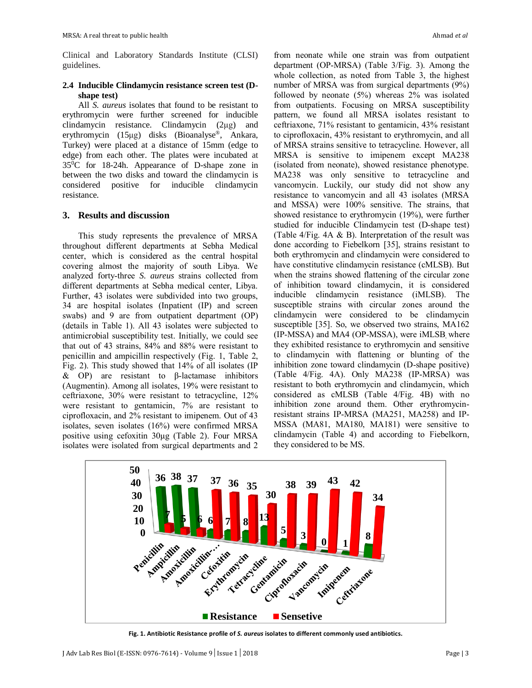Clinical and Laboratory Standards Institute (CLSI) guidelines.

## **2.4 Inducible Clindamycin resistance screen test (Dshape test)**

All *S. aureus* isolates that found to be resistant to erythromycin were further screened for inducible clindamycin resistance. Clindamycin (2μg) and erythromycin (15μg) disks (Bioanalyse®, Ankara, Turkey) were placed at a distance of 15mm (edge to edge) from each other. The plates were incubated at 35<sup>0</sup>C for 18-24h. Appearance of D-shape zone in between the two disks and toward the clindamycin is considered positive for inducible clindamycin resistance.

### **3. Results and discussion**

This study represents the prevalence of MRSA throughout different departments at Sebha Medical center, which is considered as the central hospital covering almost the majority of south Libya. We analyzed forty-three *S. aureus* strains collected from different departments at Sebha medical center, Libya. Further, 43 isolates were subdivided into two groups, 34 are hospital isolates (Inpatient (IP) and screen swabs) and 9 are from outpatient department (OP) (details in Table 1). All 43 isolates were subjected to antimicrobial susceptibility test. Initially, we could see that out of 43 strains, 84% and 88% were resistant to penicillin and ampicillin respectively (Fig. 1, Table 2, Fig. 2). This study showed that 14% of all isolates (IP & OP) are resistant to β-lactamase inhibitors (Augmentin). Among all isolates, 19% were resistant to ceftriaxone, 30% were resistant to tetracycline, 12% were resistant to gentamicin, 7% are resistant to ciprofloxacin, and 2% resistant to imipenem. Out of 43 isolates, seven isolates (16%) were confirmed MRSA positive using cefoxitin 30μg (Table 2). Four MRSA isolates were isolated from surgical departments and 2

from neonate while one strain was from outpatient department (OP-MRSA) (Table 3/Fig. 3). Among the whole collection, as noted from Table 3, the highest number of MRSA was from surgical departments (9%) followed by neonate (5%) whereas 2% was isolated from outpatients. Focusing on MRSA susceptibility pattern, we found all MRSA isolates resistant to ceftriaxone, 71% resistant to gentamicin, 43% resistant to ciprofloxacin, 43% resistant to erythromycin, and all of MRSA strains sensitive to tetracycline. However, all MRSA is sensitive to imipenem except MA238 (isolated from neonate), showed resistance phenotype. MA238 was only sensitive to tetracycline and vancomycin. Luckily, our study did not show any resistance to vancomycin and all 43 isolates (MRSA and MSSA) were 100% sensitive. The strains, that showed resistance to erythromycin (19%), were further studied for inducible Clindamycin test (D-shape test) (Table 4/Fig. 4A & B). Interpretation of the result was done according to Fiebelkorn [35], strains resistant to both erythromycin and clindamycin were considered to have constitutive clindamycin resistance (cMLSB). But when the strains showed flattening of the circular zone of inhibition toward clindamycin, it is considered inducible clindamycin resistance (iMLSB). The susceptible strains with circular zones around the clindamycin were considered to be clindamycin susceptible [35]. So, we observed two strains, MA162 (IP-MSSA) and MA4 (OP-MSSA), were iMLSB, where they exhibited resistance to erythromycin and sensitive to clindamycin with flattening or blunting of the inhibition zone toward clindamycin (D-shape positive) (Table 4/Fig. 4A). Only MA238 (IP-MRSA) was resistant to both erythromycin and clindamycin, which considered as cMLSB (Table 4/Fig. 4B) with no inhibition zone around them. Other erythromycinresistant strains IP-MRSA (MA251, MA258) and IP-MSSA (MA81, MA180, MA181) were sensitive to clindamycin (Table 4) and according to Fiebelkorn, they considered to be MS.



**Fig. 1. Antibiotic Resistance profile of** *S. aureus* **isolates to different commonly used antibiotics.**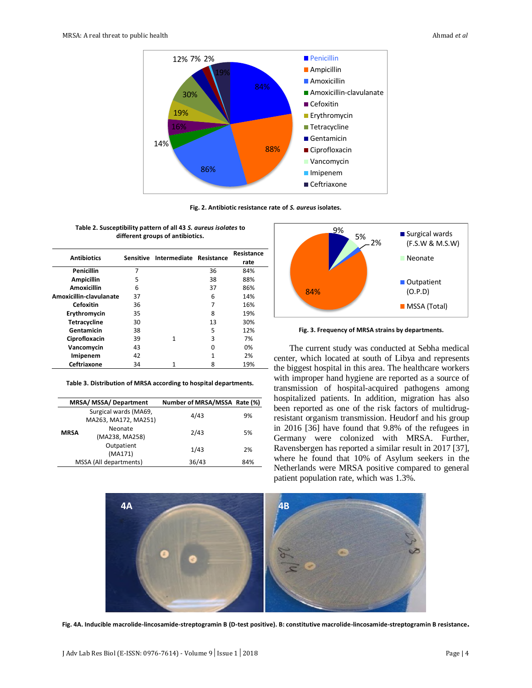

**Fig. 2. Antibiotic resistance rate of** *S. aureus* **isolates.**

| <b>Antibiotics</b>      |    | Sensitive Intermediate Resistance |    | Resistance |
|-------------------------|----|-----------------------------------|----|------------|
|                         |    |                                   |    | rate       |
| Penicillin              | 7  |                                   | 36 | 84%        |
| <b>Ampicillin</b>       | 5  |                                   | 38 | 88%        |
| Amoxicillin             | 6  |                                   | 37 | 86%        |
| Amoxicillin-clavulanate | 37 |                                   | 6  | 14%        |
| Cefoxitin               | 36 |                                   | 7  | 16%        |
| Erythromycin            | 35 |                                   | 8  | 19%        |
| <b>Tetracycline</b>     | 30 |                                   | 13 | 30%        |
| Gentamicin              | 38 |                                   | 5  | 12%        |
| Ciprofloxacin           | 39 | 1                                 | 3  | 7%         |
| Vancomycin              | 43 |                                   | ŋ  | 0%         |
| Imipenem                | 42 |                                   | 1  | 2%         |
| Ceftriaxone             | 34 |                                   | 8  | 19%        |

**Table 2. Susceptibility pattern of all 43** *S. aureus isolates* **to different groups of antibiotics.**

**Table 3. Distribution of MRSA according to hospital departments.**

| MRSA/ MSSA/ Department                        |                           | Number of MRSA/MSSA Rate (%) |     |
|-----------------------------------------------|---------------------------|------------------------------|-----|
| Surgical wards (MA69,<br>MA263, MA172, MA251) |                           | 4/43                         | 9%  |
| <b>MRSA</b>                                   | Neonate<br>(MA238, MA258) | 2/43                         | 5%  |
|                                               | Outpatient<br>(MA171)     | 1/43                         | 2%  |
| MSSA (All departments)                        |                           | 36/43                        | 84% |



**Fig. 3. Frequency of MRSA strains by departments.**

The current study was conducted at Sebha medical center, which located at south of Libya and represents the biggest hospital in this area. The healthcare workers with improper hand hygiene are reported as a source of transmission of hospital-acquired pathogens among hospitalized patients. In addition, migration has also been reported as one of the risk factors of multidrugresistant organism transmission. Heudorf and his group in 2016 [36] have found that 9.8% of the refugees in Germany were colonized with MRSA. Further, Ravensbergen has reported a similar result in 2017 [37], where he found that 10% of Asylum seekers in the Netherlands were MRSA positive compared to general patient population rate, which was 1.3%.



**Fig. 4A. Inducible macrolide-lincosamide-streptogramin B (D-test positive). B: constitutive macrolide-lincosamide-streptogramin B resistance.**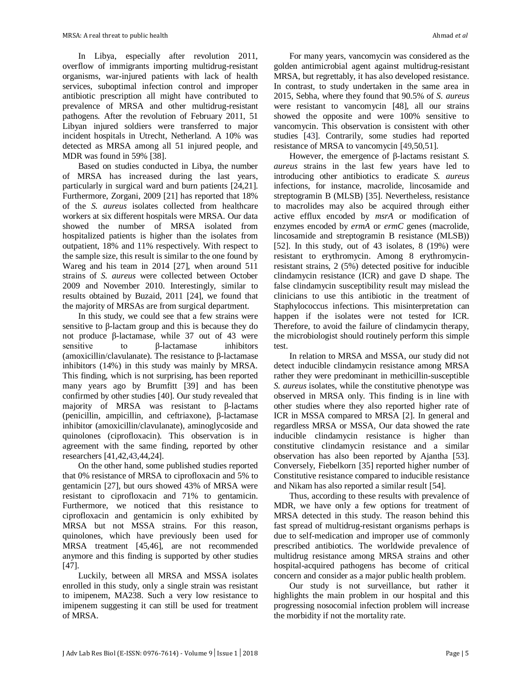In Libya, especially after revolution 2011, overflow of immigrants importing multidrug-resistant organisms, war-injured patients with lack of health services, suboptimal infection control and improper antibiotic prescription all might have contributed to prevalence of MRSA and other multidrug-resistant pathogens. After the revolution of February 2011, 51 Libyan injured soldiers were transferred to major incident hospitals in Utrecht, Netherland. A 10% was detected as MRSA among all 51 injured people, and MDR was found in 59% [38].

Based on studies conducted in Libya, the number of MRSA has increased during the last years, particularly in surgical ward and burn patients [24,21]. Furthermore, Zorgani, 2009 [21] has reported that 18% of the *S. aureus* isolates collected from healthcare workers at six different hospitals were MRSA. Our data showed the number of MRSA isolated from hospitalized patients is higher than the isolates from outpatient, 18% and 11% respectively. With respect to the sample size, this result is similar to the one found by Wareg and his team in 2014 [27], when around 511 strains of *S. aureus* were collected between October 2009 and November 2010. Interestingly, similar to results obtained by Buzaid, 2011 [24], we found that the majority of MRSAs are from surgical department.

In this study, we could see that a few strains were sensitive to β-lactam group and this is because they do not produce β-lactamase, while 37 out of 43 were sensitive to β-lactamase inhibitors (amoxicillin/clavulanate). The resistance to β-lactamase inhibitors (14%) in this study was mainly by MRSA. This finding, which is not surprising, has been reported many years ago by Brumfitt [39] and has been confirmed by other studies [40]. Our study revealed that majority of MRSA was resistant to β-lactams (penicillin, ampicillin, and ceftriaxone), β-lactamase inhibitor (amoxicillin/clavulanate), aminoglycoside and quinolones (ciprofloxacin). This observation is in agreement with the same finding, reported by other researchers [41,42,43,44,24].

On the other hand, some published studies reported that 0% resistance of MRSA to ciprofloxacin and 5% to gentamicin [27], but ours showed 43% of MRSA were resistant to ciprofloxacin and 71% to gentamicin. Furthermore, we noticed that this resistance to ciprofloxacin and gentamicin is only exhibited by MRSA but not MSSA strains. For this reason, quinolones, which have previously been used for MRSA treatment [45,46], are not recommended anymore and this finding is supported by other studies [47].

Luckily, between all MRSA and MSSA isolates enrolled in this study, only a single strain was resistant to imipenem, MA238. Such a very low resistance to imipenem suggesting it can still be used for treatment of MRSA.

For many years, vancomycin was considered as the golden antimicrobial agent against multidrug-resistant MRSA, but regrettably, it has also developed resistance. In contrast, to study undertaken in the same area in 2015, Sebha, where they found that 90.5% of *S. aureus* were resistant to vancomycin [48], all our strains showed the opposite and were 100% sensitive to vancomycin. This observation is consistent with other studies [43]. Contrarily, some studies had reported resistance of MRSA to vancomycin [49,50,51].

However, the emergence of β-lactams resistant *S. aureus* strains in the last few years have led to introducing other antibiotics to eradicate *S. aureus* infections, for instance, macrolide, lincosamide and streptogramin B (MLSB) [35]. Nevertheless, resistance to macrolides may also be acquired through either active efflux encoded by *msrA* or modification of enzymes encoded by *ermA* or *ermC* genes (macrolide, lincosamide and streptogramin B resistance (MLSB)) [52]. In this study, out of 43 isolates, 8 (19%) were resistant to erythromycin. Among 8 erythromycinresistant strains, 2 (5%) detected positive for inducible clindamycin resistance (ICR) and gave D shape. The false clindamycin susceptibility result may mislead the clinicians to use this antibiotic in the treatment of Staphylococcus infections. This misinterpretation can happen if the isolates were not tested for ICR. Therefore, to avoid the failure of clindamycin therapy, the microbiologist should routinely perform this simple test.

In relation to MRSA and MSSA, our study did not detect inducible clindamycin resistance among MRSA rather they were predominant in methicillin-susceptible *S. aureus* isolates, while the constitutive phenotype was observed in MRSA only. This finding is in line with other studies where they also reported higher rate of ICR in MSSA compared to MRSA [2]. In general and regardless MRSA or MSSA*,* Our data showed the rate inducible clindamycin resistance is higher than constitutive clindamycin resistance and a similar observation has also been reported by Ajantha [53]. Conversely, Fiebelkorn [35] reported higher number of Constitutive resistance compared to inducible resistance and Nikam has also reported a similar result [54].

Thus, according to these results with prevalence of MDR, we have only a few options for treatment of MRSA detected in this study. The reason behind this fast spread of multidrug-resistant organisms perhaps is due to self-medication and improper use of commonly prescribed antibiotics. The worldwide prevalence of multidrug resistance among MRSA strains and other hospital-acquired pathogens has become of critical concern and consider as a major public health problem.

Our study is not surveillance, but rather it highlights the main problem in our hospital and this progressing nosocomial infection problem will increase the morbidity if not the mortality rate.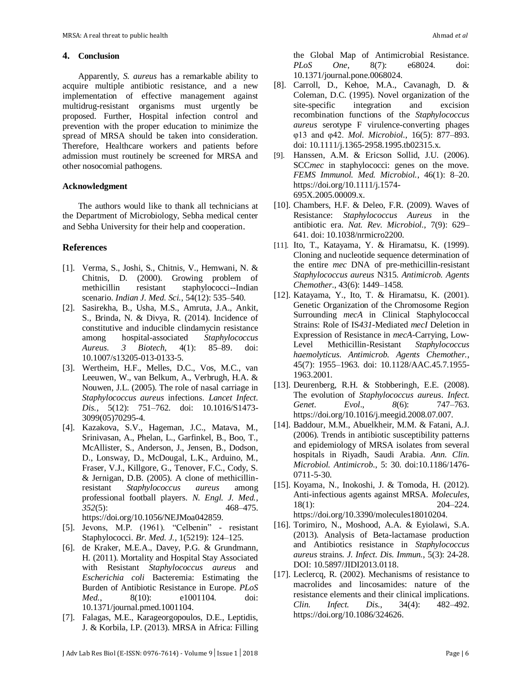#### **4. Conclusion**

Apparently, *S. aureus* has a remarkable ability to acquire multiple antibiotic resistance, and a new implementation of effective management against multidrug-resistant organisms must urgently be proposed. Further, Hospital infection control and prevention with the proper education to minimize the spread of MRSA should be taken into consideration. Therefore, Healthcare workers and patients before admission must routinely be screened for MRSA and other nosocomial pathogens.

#### **Acknowledgment**

The authors would like to thank all technicians at the Department of Microbiology, Sebha medical center and Sebha University for their help and cooperation.

#### **References**

- [1]. Verma, S., Joshi, S., Chitnis, V., Hemwani, N. & Chitnis, D. (2000). Growing problem of methicillin resistant staphylococci--Indian scenario. *Indian J. Med. Sci.*, 54(12): 535–540.
- [2]. Sasirekha, B., Usha, M.S., Amruta, J.A., Ankit, S., Brinda, N. & Divya, R. (2014). Incidence of constitutive and inducible clindamycin resistance among hospital-associated *Staphylococcus Aureus*. *3 Biotech*, 4(1): 85–89. doi: 10.1007/s13205-013-0133-5.
- [3]. Wertheim, H.F., Melles, D.C., Vos, M.C., van Leeuwen, W., van Belkum, A., Verbrugh, H.A. & Nouwen, J.L. (2005). The role of nasal carriage in *Staphylococcus aureus* infections. *Lancet Infect. Dis.*, 5(12): 751–762. doi: 10.1016/S1473- 3099(05)70295-4.
- [4]. Kazakova, S.V., Hageman, J.C., Matava, M., Srinivasan, A., Phelan, L., Garfinkel, B., Boo, T., McAllister, S., Anderson, J., Jensen, B., Dodson, D., Lonsway, D., McDougal, L.K., Arduino, M., Fraser, V.J., Killgore, G., Tenover, F.C., Cody, S. & Jernigan, D.B. (2005). A clone of methicillinresistant *Staphylococcus aureus* among professional football players. *N. Engl. J. Med.*, *352*(5): 468–475. https://doi.org/10.1056/NEJMoa042859.
- [5]. Jevons, M.P. (1961). "Celbenin" resistant Staphylococci. *Br. Med. J.*, 1(5219): 124–125.
- [6]. de Kraker, M.E.A., Davey, P.G. & Grundmann, H. (2011). Mortality and Hospital Stay Associated with Resistant *Staphylococcus aureus* and *Escherichia coli* Bacteremia: Estimating the Burden of Antibiotic Resistance in Europe. *PLoS Med.*, 8(10): e1001104. doi: 10.1371/journal.pmed.1001104.
- [7]. Falagas, M.E., Karageorgopoulos, D.E., Leptidis, J. & Korbila, I.P. (2013). MRSA in Africa: Filling

the Global Map of Antimicrobial Resistance. *PLoS One*, 8(7): e68024. doi: 10.1371/journal.pone.0068024.

- [8]. Carroll, D., Kehoe, M.A., Cavanagh, D. & Coleman, D.C. (1995). Novel organization of the site-specific integration and excision recombination functions of the *Staphylococcus aureus* serotype F virulence-converting phages φ13 and φ42. *Mol. Microbiol.*, 16(5): 877–893. doi: 10.1111/j.1365-2958.1995.tb02315.x.
- [9]. Hanssen, A.M. & Ericson Sollid, J.U. (2006). SCC*mec* in staphylococci: genes on the move. *FEMS Immunol. Med. Microbiol.*, 46(1): 8–20. https://doi.org/10.1111/j.1574- 695X.2005.00009.x.
- [10]. Chambers, H.F. & Deleo, F.R. (2009). Waves of Resistance: *Staphylococcus Aureus* in the antibiotic era. *Nat. Rev. Microbiol.*, 7(9): 629– 641. doi: 10.1038/nrmicro2200.
- [11]. Ito, T., Katayama, Y. & Hiramatsu, K. (1999). Cloning and nucleotide sequence determination of the entire *mec* DNA of pre-methicillin-resistant *Staphylococcus aureus* N315. *Antimicrob. Agents Chemother.*, 43(6): 1449–1458.
- [12]. Katayama, Y., Ito, T. & Hiramatsu, K. (2001). Genetic Organization of the Chromosome Region Surrounding *mecA* in Clinical Staphylococcal Strains: Role of IS*431*-Mediated *mecI* Deletion in Expression of Resistance in *mecA*-Carrying, Low-Level Methicillin-Resistant *haemolyticus*. *Antimicrob. Agents Chemother.*, 45(7): 1955–1963. doi: 10.1128/AAC.45.7.1955- 1963.2001.
- [13]. Deurenberg, R.H. & Stobberingh, E.E. (2008). The evolution of *Staphylococcus aureus*. *Infect. Genet. Evol*., *8*(6): 747–763. https://doi.org/10.1016/j.meegid.2008.07.007.
- [14]. Baddour, M.M., Abuelkheir, M.M. & Fatani, A.J. (2006). Trends in antibiotic susceptibility patterns and epidemiology of MRSA isolates from several hospitals in Riyadh, Saudi Arabia. *Ann. Clin. Microbiol. Antimicrob*., 5: 30. doi:10.1186/1476- 0711-5-30.
- [15]. Koyama, N., Inokoshi, J. & Tomoda, H. (2012). Anti-infectious agents against MRSA. *Molecules*, 18(1): 204–224. https://doi.org/10.3390/molecules18010204.
- [16]. Torimiro, N., Moshood, A.A. & Eyiolawi, S.A. (2013). Analysis of Beta-lactamase production and Antibiotics resistance in *Staphylococcus aureus* strains. *J. Infect. Dis. Immun.*, 5(3): 24-28. DOI: 10.5897/JIDI2013.0118.
- [17]. Leclercq, R. (2002). Mechanisms of resistance to macrolides and lincosamides: nature of the resistance elements and their clinical implications. *Clin. Infect. Dis*., 34(4): 482–492. https://doi.org/10.1086/324626.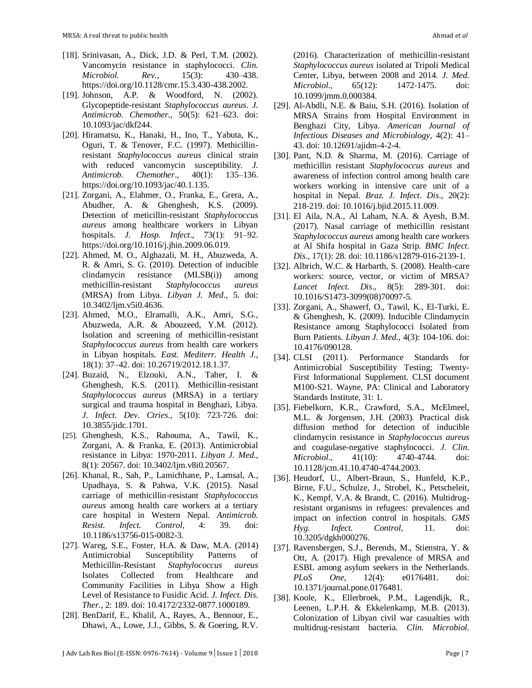- [18]. Srinivasan, A., Dick, J.D. & Perl, T.M. (2002). Vancomycin resistance in staphylococci. *Clin. Microbiol. Rev.*, 15(3): 430–438. https://doi.org/10.1128/cmr.15.3.430-438.2002.
- [19]. Johnson, A.P. & Woodford, N. (2002). Glycopeptide-resistant *Staphylococcus aureus*. *J. Antimicrob. Chemother.*, 50(5): 621–623. doi: 10.1093/jac/dkf244.
- [20]. Hiramatsu, K., Hanaki, H., Ino, T., Yabuta, K., Oguri, T. & Tenover, F.C. (1997). Methicillinresistant *Staphylococcus aureus* clinical strain with reduced vancomycin susceptibility. *J. Antimicrob. Chemother*., 40(1): 135–136. https://doi.org/10.1093/jac/40.1.135.
- [21]. Zorgani, A., Elahmer, O., Franka, E., Grera, A., Abudher, A. & Ghenghesh, K.S. (2009). Detection of meticillin-resistant *Staphylococcus aureus* among healthcare workers in Libyan hospitals. *J. Hosp. Infect*., 73(1): 91–92. https://doi.org/10.1016/j.jhin.2009.06.019.
- [22]. Ahmed, M. O., Alghazali, M. H., Abuzweda, A. R. & Amri, S. G. (2010). Detection of inducible clindamycin resistance (MLSB(i)) among methicillin-resistant *Staphylococcus aureus* (MRSA) from Libya. *Libyan J. Med*., 5. doi: 10.3402/ljm.v5i0.4636.
- [23]. Ahmed, M.O., Elramalli, A.K., Amri, S.G., Abuzweda, A.R. & Abouzeed, Y.M. (2012). Isolation and screening of methicillin-resistant *Staphylococcus aureus* from health care workers in Libyan hospitals. *East. Mediterr. Health J*., 18(1): 37–42. doi: 10.26719/2012.18.1.37.
- [24]. Buzaid, N., Elzouki, A.N., Taher, I. & Ghenghesh, K.S. (2011). Methicillin-resistant *Staphylococcus aureus* (MRSA) in a tertiary surgical and trauma hospital in Benghazi, Libya. *J. Infect. Dev. Ctries*., 5(10): 723‐726. doi: 10.3855/jidc.1701.
- [25]. Ghenghesh, K.S., Rahouma, A., Tawil, K., Zorgani, A. & Franka, E. (2013). Antimicrobial resistance in Libya: 1970-2011. *Libyan J. Med*., 8(1): 20567. doi: 10.3402/ljm.v8i0.20567.
- [26]. Khanal, R., Sah, P., Lamichhane, P., Lamsal, A., Upadhaya, S. & Pahwa, V.K. (2015). Nasal carriage of methicillin-resistant *Staphylococcus aureus* among health care workers at a tertiary care hospital in Western Nepal. *Antimicrob. Resist. Infect. Control*, 4: 39. doi: 10.1186/s13756-015-0082-3.
- [27]. Wareg, S.E., Foster, H.A. & Daw, M.A. (2014) Antimicrobial Susceptibility Patterns of Methicillin-Resistant *Staphylococcus aureus* Isolates Collected from Healthcare and Community Facilities in Libya Show a High Level of Resistance to Fusidic Acid. *J. Infect. Dis. Ther.*, 2: 189. doi: 10.4172/2332-0877.1000189.
- [28]. BenDarif, E., Khalil, A., Rayes, A., Bennour, E., Dhawi, A., Lowe, J.J., Gibbs, S. & Goering, R.V.

(2016). Characterization of methicillin-resistant *Staphylococcus aureus* isolated at Tripoli Medical Center, Libya, between 2008 and 2014. *J. Med. Microbiol.*, 65(12): 1472-1475. doi: 10.1099/jmm.0.000384.

- [29]. Al-Abdli, N.E. & Baiu, S.H. (2016). Isolation of MRSA Strains from Hospital Environment in Benghazi City, Libya. *American Journal of Infectious Diseases and Microbiology*, 4(2): 41– 43. doi: 10.12691/ajidm-4-2-4.
- [30]. Pant, N.D. & Sharma, M. (2016). Carriage of methicillin resistant *Staphylococcus aureus* and awareness of infection control among health care workers working in intensive care unit of a hospital in Nepal. *Braz. J. Infect. Dis*., 20(2): 218‐219. doi: 10.1016/j.bjid.2015.11.009.
- [31]. El Aila, N.A., Al Laham, N.A. & Ayesh, B.M. (2017). Nasal carriage of methicillin resistant *Staphylococcus aureus* among health care workers at Al Shifa hospital in Gaza Strip. *BMC Infect. Dis*., 17(1): 28. doi: 10.1186/s12879-016-2139-1.
- [32]. Albrich, W.C. & Harbarth, S. (2008). Health-care workers: source, vector, or victim of MRSA? *Lancet Infect. Dis*., 8(5): 289‐301. doi: 10.1016/S1473-3099(08)70097-5.
- [33]. Zorgani, A., Shawerf, O., Tawil, K., El-Turki, E. & Ghenghesh, K. (2009). Inducible Clindamycin Resistance among Staphylococci Isolated from Burn Patients. *Libyan J. Med*., 4(3): 104‐106. doi: 10.4176/090128.
- [34]. CLSI (2011). Performance Standards for Antimicrobial Susceptibility Testing; Twenty-First Informational Supplement. CLSI document M100-S21. Wayne, PA: Clinical and Laboratory Standards Institute, 31: 1.
- [35]. Fiebelkorn, K.R., Crawford, S.A., McElmeel, M.L. & Jorgensen, J.H. (2003). Practical disk diffusion method for detection of inducible clindamycin resistance in *Staphylococcus aureus* and coagulase-negative staphylococci. *J. Clin. Microbiol.*, 41(10): 4740-4744. doi: 10.1128/jcm.41.10.4740-4744.2003.
- [36]. Heudorf, U., Albert-Braun, S., Hunfeld, K.P., Birne, F.U., Schulze, J., Strobel, K., Petscheleit, K., Kempf, V.A. & Brandt, C. (2016). Multidrugresistant organisms in refugees: prevalences and impact on infection control in hospitals. *GMS Hyg. Infect. Control*, 11. doi: 10.3205/dgkh000276.
- [37]. Ravensbergen, S.J., Berends, M., Stienstra, Y. & Ott, A. (2017). High prevalence of MRSA and ESBL among asylum seekers in the Netherlands. *PLoS One*, 12(4): e0176481. doi: 10.1371/journal.pone.0176481.
- [38]. Koole, K., Ellerbroek, P.M., Lagendijk, R., Leenen, L.P.H. & Ekkelenkamp, M.B. (2013). Colonization of Libyan civil war casualties with multidrug-resistant bacteria. *Clin. Microbiol.*